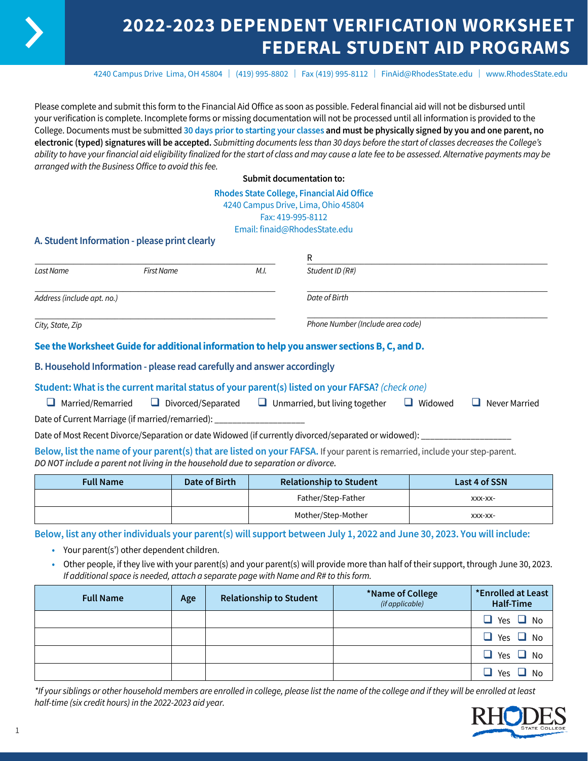# **2022-2023 DEPENDENT VERIFICATION WORKSHEET FEDERAL STUDENT AID PROGRAMS**

4240 Campus Drive Lima, OH 45804 | (419) 995-8802 | Fax (419) 995-8112 | [FinAid@RhodesState.edu](mailto:FinAid@RhodesState.edu) | [www.RhodesState.edu](http://www.RhodesState.edu)

Please complete and submit this form to the Financial Aid Office as soon as possible. Federal financial aid will not be disbursed until your verification is complete. Incomplete forms or missing documentation will not be processed until all information is provided to the College. Documents must be submitted **30 days prior to starting your classes and must be physically signed by you and one parent, no electronic (typed) signatures will be accepted.** *Submitting documents less than 30 days before the start of classes decreases the College's ability to have your financial aid eligibility finalized for the start of class and may cause a late fee to be assessed. Alternative payments may be arranged with the Business Office to avoid this fee.*

**Submit documentation to:**

#### **Rhodes State College, Financial Aid Office** 4240 Campus Drive, Lima, Ohio 45804

Fax: 419-995-8112

Email: finaid@RhodesState.edu

# **A. Student Information - please print clearly**

|                            |                                                                         |      | R                                                                                                                            |                |               |
|----------------------------|-------------------------------------------------------------------------|------|------------------------------------------------------------------------------------------------------------------------------|----------------|---------------|
| Last Name                  | <b>First Name</b>                                                       | M.I. | Student ID (R#)                                                                                                              |                |               |
| Address (include apt. no.) |                                                                         |      | Date of Birth                                                                                                                |                |               |
| City, State, Zip           |                                                                         |      | Phone Number (Include area code)                                                                                             |                |               |
|                            |                                                                         |      | See the Worksheet Guide for additional information to help you answer sections B, C, and D.                                  |                |               |
|                            | B. Household Information - please read carefully and answer accordingly |      |                                                                                                                              |                |               |
|                            |                                                                         |      | Student: What is the current marital status of your parent(s) listed on your FAFSA? (check one)                              |                |               |
| Married/Remarried          |                                                                         |      | $\Box$ Divorced/Separated $\Box$ Unmarried, but living together                                                              | $\Box$ Widowed | Never Married |
|                            | Date of Current Marriage (if married/remarried): ____________________   |      |                                                                                                                              |                |               |
|                            |                                                                         |      | Date of Most Recent Divorce/Separation or date Widowed (if currently divorced/separated or widowed): ____                    |                |               |
|                            |                                                                         |      | Below, list the name of your parent(s) that are listed on your FAFSA. If your parent is remarried, include your step-parent. |                |               |

*DO NOT include a parent not living in the household due to separation or divorce.*

| <b>Full Name</b> | Date of Birth | <b>Relationship to Student</b> | Last 4 of SSN |
|------------------|---------------|--------------------------------|---------------|
|                  |               | Father/Step-Father             | XXX-XX-       |
|                  |               | Mother/Step-Mother             | XXX-XX-       |

**Below, list any other individuals your parent(s) will support between July 1, 2022 and June 30, 2023. You will include:**

- **•** Your parent(s') other dependent children.
- **•** Other people, if they live with your parent(s) and your parent(s) will provide more than half of their support, through June 30, 2023. *If additional space is needed, attach a separate page with Name and R# to this form.*

| <b>Full Name</b> | Age | <b>Relationship to Student</b> | *Name of College<br>(if applicable) | *Enrolled at Least<br>Half-Time |
|------------------|-----|--------------------------------|-------------------------------------|---------------------------------|
|                  |     |                                |                                     | $\Box$ Yes $\Box$ No            |
|                  |     |                                |                                     | $\Box$ Yes $\Box$ No            |
|                  |     |                                |                                     | $\Box$ Yes $\Box$ No            |
|                  |     |                                |                                     | $\Box$ Yes $\Box$ No            |

*\*If your siblings or other household members are enrolled in college, please list the name of the college and if they will be enrolled at least half-time (six credit hours) in the 2022-2023 aid year.*

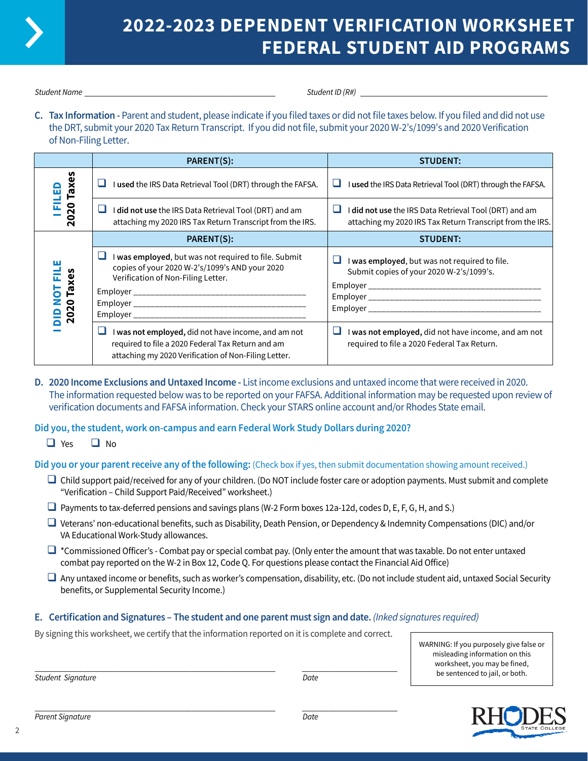

# **2022-2023 DEPENDENT VERIFICATION WORKSHEET FEDERAL STUDENT AID PROGRAMS**

*Student Name* \_\_\_\_\_\_\_\_\_\_\_\_\_\_\_\_\_\_\_\_\_\_\_\_\_\_\_\_\_\_\_\_\_\_\_\_\_\_\_\_\_\_\_\_\_\_\_\_\_\_ *Student ID (R#)* \_\_\_\_\_\_\_\_\_\_\_\_\_\_\_\_\_\_\_\_\_\_\_\_\_\_\_\_\_\_\_\_\_\_\_\_\_\_\_\_\_\_\_\_\_\_\_\_\_

**C. Tax Information -** Parent and student, please indicate if you filed taxes or did not file taxes below. If you filed and did not use the DRT, submit your 2020 Tax Return Transcript. If you did not file, submit your 2020 W-2's/1099's and 2020 Verification of Non-Filing Letter.

|                      | PARENT(S):                                                                                                                                                            | <b>STUDENT:</b>                                                                                                     |
|----------------------|-----------------------------------------------------------------------------------------------------------------------------------------------------------------------|---------------------------------------------------------------------------------------------------------------------|
| n<br>ш               | I used the IRS Data Retrieval Tool (DRT) through the FAFSA.                                                                                                           | I used the IRS Data Retrieval Tool (DRT) through the FAFSA.<br>⊔                                                    |
| 2020 Taxe            | ப<br>I did not use the IRS Data Retrieval Tool (DRT) and am<br>attaching my 2020 IRS Tax Return Transcript from the IRS.                                              | I did not use the IRS Data Retrieval Tool (DRT) and am<br>attaching my 2020 IRS Tax Return Transcript from the IRS. |
|                      | PARENT(S):                                                                                                                                                            | <b>STUDENT:</b>                                                                                                     |
| 2020 Taxes<br>됴<br>5 | I was employed, but was not required to file. Submit<br>copies of your 2020 W-2's/1099's AND your 2020<br>Verification of Non-Filing Letter.                          | I was employed, but was not required to file.<br>Submit copies of your 2020 W-2's/1099's.                           |
|                      | ப<br>I was not employed, did not have income, and am not<br>required to file a 2020 Federal Tax Return and am<br>attaching my 2020 Verification of Non-Filing Letter. | I was not employed, did not have income, and am not<br>⊔<br>required to file a 2020 Federal Tax Return.             |

**D. 2020 Income Exclusions and Untaxed Income -** List income exclusions and untaxed income that were received in 2020. The information requested below was to be reported on your FAFSA. Additional information may be requested upon review of verification documents and FAFSA information. Check your STARS online account and/or Rhodes State email.

# **Did you, the student, work on-campus and earn Federal Work Study Dollars during 2020?**

 $\Box$  Yes  $\Box$  No

**Did you or your parent receive any of the following:** (Check box if yes, then submit documentation showing amount received.)

- $\Box$  Child support paid/received for any of your children. (Do NOT include foster care or adoption payments. Must submit and complete "Verification – Child Support Paid/Received" worksheet.)
- $\Box$  Payments to tax-deferred pensions and savings plans (W-2 Form boxes 12a-12d, codes D, E, F, G, H, and S.)
- q Veterans' non-educational benefits, such as Disability, Death Pension, or Dependency & Indemnity Compensations (DIC) and/or VA Educational Work-Study allowances.
- $\Box$  \*Commissioned Officer's Combat pay or special combat pay. (Only enter the amount that was taxable. Do not enter untaxed combat pay reported on the W-2 in Box 12, Code Q. For questions please contact the Financial Aid Office)
- $\Box$  Any untaxed income or benefits, such as worker's compensation, disability, etc. (Do not include student aid, untaxed Social Security benefits, or Supplemental Security Income.)

## **E. Certification and Signatures – The student and one parent must sign and date.** *(Inked signatures required)*

By signing this worksheet, we certify that the information reported on it is complete and correct.

\_\_\_\_\_\_\_\_\_\_\_\_\_\_\_\_\_\_\_\_\_\_\_\_\_\_\_\_\_\_\_\_\_\_\_\_\_\_\_\_\_\_\_\_\_\_\_\_\_\_\_\_\_\_\_\_\_\_\_\_\_\_\_ \_\_\_\_\_\_\_\_\_\_\_\_\_\_\_\_\_\_\_\_\_\_\_\_\_

WARNING: If you purposely give false or misleading information on this worksheet, you may be fined, be sentenced to jail, or both.

*Student Signature Date*

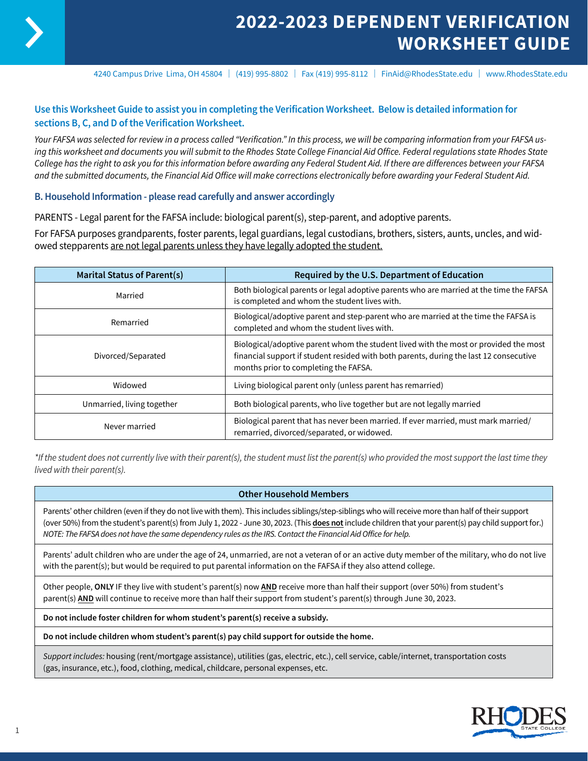

4240 Campus Drive Lima, OH 45804 | (419) 995-8802 | Fax (419) 995-8112 | FinAid@RhodesState.edu | www.RhodesState.edu

# **Use this Worksheet Guide to assist you in completing the Verification Worksheet. Below is detailed information for sections B, C, and D of the Verification Worksheet.**

*Your FAFSA was selected for review in a process called "Verification." In this process, we will be comparing information from your FAFSA using this worksheet and documents you will submit to the Rhodes State College Financial Aid Office. Federal regulations state Rhodes State College has the right to ask you for this information before awarding any Federal Student Aid. If there are differences between your FAFSA and the submitted documents, the Financial Aid Office will make corrections electronically before awarding your Federal Student Aid.*

## **B. Household Information - please read carefully and answer accordingly**

PARENTS - Legal parent for the FAFSA include: biological parent(s), step-parent, and adoptive parents.

For FAFSA purposes grandparents, foster parents, legal guardians, legal custodians, brothers, sisters, aunts, uncles, and widowed stepparents are not legal parents unless they have legally adopted the student.

| <b>Marital Status of Parent(s)</b> | Required by the U.S. Department of Education                                                                                                                                                                            |  |
|------------------------------------|-------------------------------------------------------------------------------------------------------------------------------------------------------------------------------------------------------------------------|--|
| Married                            | Both biological parents or legal adoptive parents who are married at the time the FAFSA<br>is completed and whom the student lives with.                                                                                |  |
| Remarried                          | Biological/adoptive parent and step-parent who are married at the time the FAFSA is<br>completed and whom the student lives with.                                                                                       |  |
| Divorced/Separated                 | Biological/adoptive parent whom the student lived with the most or provided the most<br>financial support if student resided with both parents, during the last 12 consecutive<br>months prior to completing the FAFSA. |  |
| Widowed                            | Living biological parent only (unless parent has remarried)                                                                                                                                                             |  |
| Unmarried, living together         | Both biological parents, who live together but are not legally married                                                                                                                                                  |  |
| Never married                      | Biological parent that has never been married. If ever married, must mark married/<br>remarried, divorced/separated, or widowed.                                                                                        |  |

*\*If the student does not currently live with their parent(s), the student must list the parent(s) who provided the most support the last time they lived with their parent(s).*

#### **Other Household Members**

Parents' other children (even if they do not live with them). This includes siblings/step-siblings who will receive more than half of their support (over 50%) from the student's parent(s) from July 1, 2022 - June 30, 2023. (This **does not** include children that your parent(s) pay child support for.) *NOTE: The FAFSA does not have the same dependency rules as the IRS. Contact the Financial Aid Office for help.*

Parents' adult children who are under the age of 24, unmarried, are not a veteran of or an active duty member of the military, who do not live with the parent(s); but would be required to put parental information on the FAFSA if they also attend college.

Other people, **ONLY** IF they live with student's parent(s) now **AND** receive more than half their support (over 50%) from student's parent(s) AND will continue to receive more than half their support from student's parent(s) through June 30, 2023.

**Do not include foster children for whom student's parent(s) receive a subsidy.**

**Do not include children whom student's parent(s) pay child support for outside the home.** 

*Support includes:* housing (rent/mortgage assistance), utilities (gas, electric, etc.), cell service, cable/internet, transportation costs (gas, insurance, etc.), food, clothing, medical, childcare, personal expenses, etc.